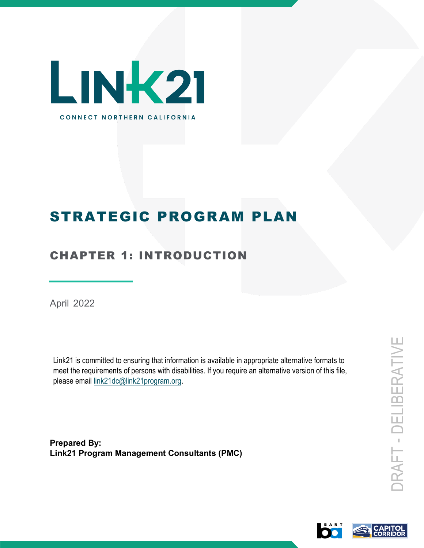

# STRATEGIC PROGRAM PLAN

# CHAPTER 1: INTRODUCTION

April 2022

Link21 is committed to ensuring that information is available in appropriate alternative formats to meet the requirements of persons with disabilities. If you require an alternative version of this file, please email link21dc@link21program.org.

**Prepared By: Link21 Program Management Consultants (PMC)**

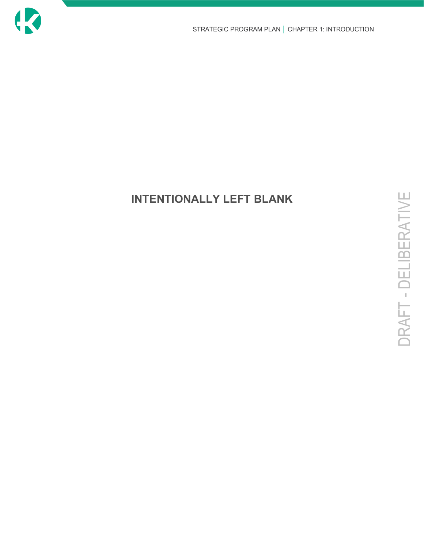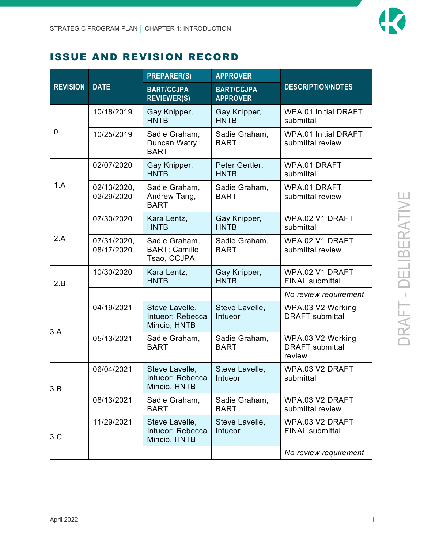

### ISSUE AND REVISION RECORD

| <b>REVISION</b> | <b>DATE</b>               | <b>PREPARER(S)</b>                                   | <b>APPROVER</b>                      | <b>DESCRIPTION/NOTES</b>                              |
|-----------------|---------------------------|------------------------------------------------------|--------------------------------------|-------------------------------------------------------|
|                 |                           | <b>BART/CCJPA</b><br><b>REVIEWER(S)</b>              | <b>BART/CCJPA</b><br><b>APPROVER</b> |                                                       |
| 0               | 10/18/2019                | Gay Knipper,<br><b>HNTB</b>                          | Gay Knipper,<br><b>HNTB</b>          | <b>WPA.01 Initial DRAFT</b><br>submittal              |
|                 | 10/25/2019                | Sadie Graham,<br>Duncan Watry,<br><b>BART</b>        | Sadie Graham,<br><b>BART</b>         | <b>WPA.01 Initial DRAFT</b><br>submittal review       |
| 1.A             | 02/07/2020                | Gay Knipper,<br><b>HNTB</b>                          | Peter Gertler,<br><b>HNTB</b>        | WPA.01 DRAFT<br>submittal                             |
|                 | 02/13/2020,<br>02/29/2020 | Sadie Graham,<br>Andrew Tang,<br><b>BART</b>         | Sadie Graham,<br><b>BART</b>         | WPA.01 DRAFT<br>submittal review                      |
| 2.A             | 07/30/2020                | Kara Lentz,<br><b>HNTB</b>                           | Gay Knipper,<br><b>HNTB</b>          | WPA.02 V1 DRAFT<br>submittal                          |
|                 | 07/31/2020,<br>08/17/2020 | Sadie Graham,<br><b>BART; Camille</b><br>Tsao, CCJPA | Sadie Graham,<br><b>BART</b>         | WPA.02 V1 DRAFT<br>submittal review                   |
| 2.B             | 10/30/2020                | Kara Lentz,<br><b>HNTB</b>                           | Gay Knipper,<br><b>HNTB</b>          | WPA.02 V1 DRAFT<br><b>FINAL submittal</b>             |
|                 |                           |                                                      |                                      | No review requirement                                 |
| 3.A             | 04/19/2021                | Steve Lavelle,<br>Intueor; Rebecca<br>Mincio, HNTB   | Steve Lavelle,<br>Intueor            | WPA.03 V2 Working<br><b>DRAFT</b> submittal           |
|                 | 05/13/2021                | Sadie Graham,<br><b>BART</b>                         | Sadie Graham,<br><b>BART</b>         | WPA.03 V2 Working<br><b>DRAFT</b> submittal<br>review |
| 3.B             | 06/04/2021                | Steve Lavelle,<br>Intueor; Rebecca<br>Mincio, HNTB   | Steve Lavelle,<br>Intueor            | WPA.03 V2 DRAFT<br>submittal                          |
|                 | 08/13/2021                | Sadie Graham,<br><b>BART</b>                         | Sadie Graham,<br><b>BART</b>         | WPA.03 V2 DRAFT<br>submittal review                   |
| 3.C             | 11/29/2021                | Steve Lavelle,<br>Intueor; Rebecca<br>Mincio, HNTB   | Steve Lavelle,<br>Intueor            | WPA.03 V2 DRAFT<br><b>FINAL submittal</b>             |
|                 |                           |                                                      |                                      | No review requirement                                 |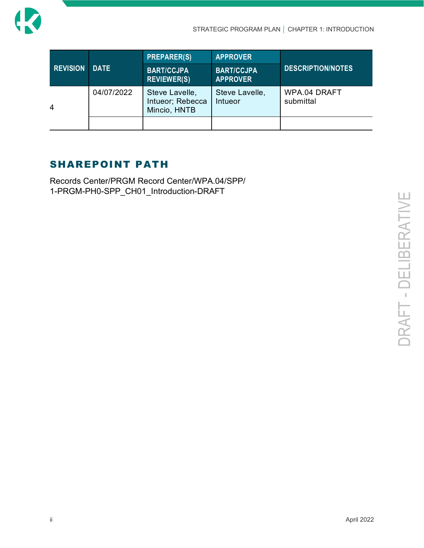

| <b>REVISION</b> | <b>DATE</b> | <b>PREPARER(S)</b>                                 | <b>APPROVER</b>                      | <b>DESCRIPTION/NOTES</b>  |
|-----------------|-------------|----------------------------------------------------|--------------------------------------|---------------------------|
|                 |             | <b>BART/CCJPA</b><br><b>REVIEWER(S)</b>            | <b>BART/CCJPA</b><br><b>APPROVER</b> |                           |
| 4               | 04/07/2022  | Steve Lavelle,<br>Intueor; Rebecca<br>Mincio, HNTB | Steve Lavelle,<br>Intueor            | WPA.04 DRAFT<br>submittal |
|                 |             |                                                    |                                      |                           |

### SHAREPOINT PATH

Records Center/PRGM Record Center/WPA.04/SPP/ 1-PRGM-PH0-SPP\_CH01\_Introduction-DRAFT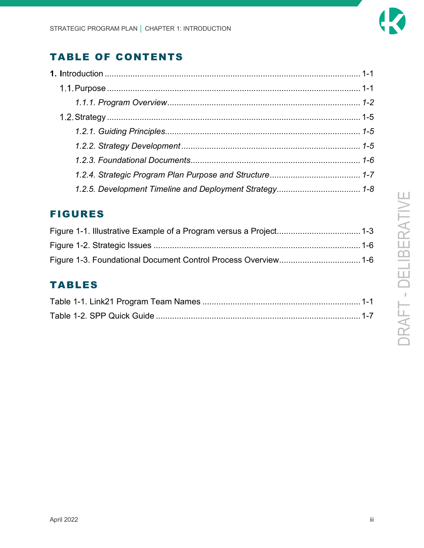

# TABLE OF CONTENTS

### FIGURES

# TABLES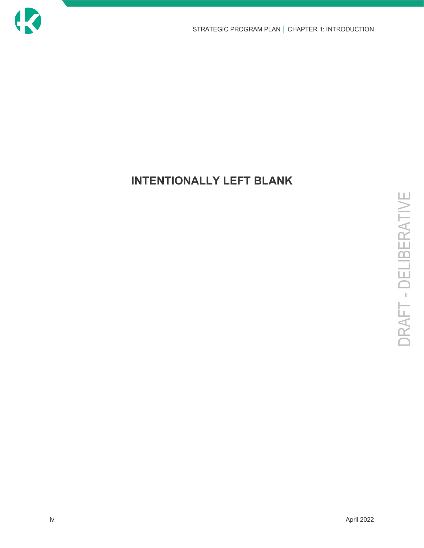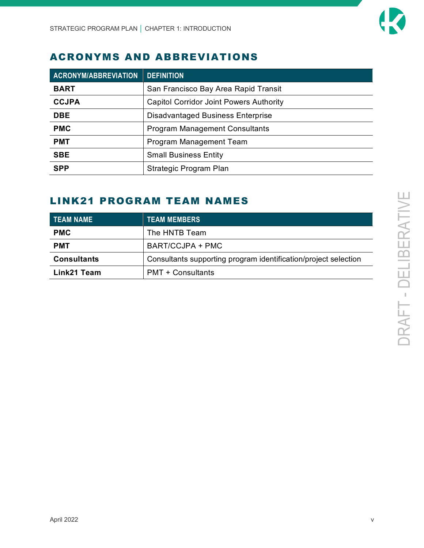

### ACRONYMS AND ABBREVIATIONS

| <b>ACRONYM/ABBREVIATION</b> | <b>DEFINITION</b>                              |
|-----------------------------|------------------------------------------------|
| <b>BART</b>                 | San Francisco Bay Area Rapid Transit           |
| <b>CCJPA</b>                | <b>Capitol Corridor Joint Powers Authority</b> |
| <b>DBE</b>                  | <b>Disadvantaged Business Enterprise</b>       |
| <b>PMC</b>                  | <b>Program Management Consultants</b>          |
| <b>PMT</b>                  | Program Management Team                        |
| <b>SBE</b>                  | <b>Small Business Entity</b>                   |
| <b>SPP</b>                  | Strategic Program Plan                         |

### LINK21 PROGRAM TEAM NAMES

| <b>TEAM NAME</b>   | <b>TEAM MEMBERS</b>                                             |
|--------------------|-----------------------------------------------------------------|
| <b>PMC</b>         | The HNTB Team                                                   |
| <b>PMT</b>         | BART/CCJPA + PMC                                                |
| <b>Consultants</b> | Consultants supporting program identification/project selection |
| Link21 Team        | <b>PMT + Consultants</b>                                        |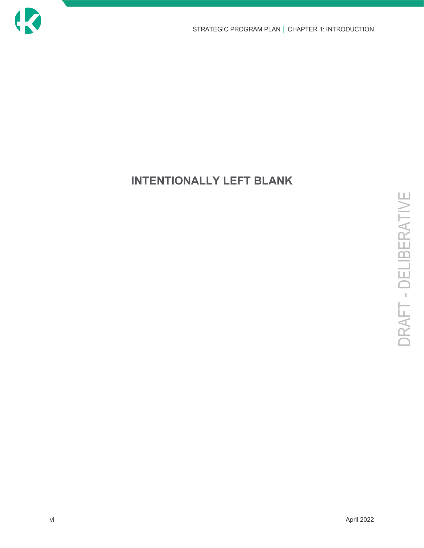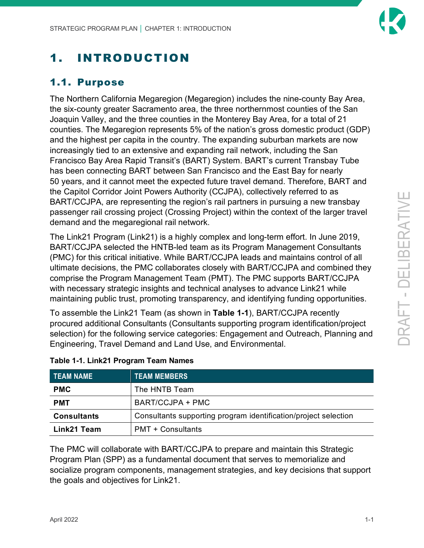# <span id="page-8-0"></span>1. INTRODUCTION

# <span id="page-8-1"></span>1.1. Purpose

The Northern California Megaregion (Megaregion) includes the nine-county Bay Area, the six-county greater Sacramento area, the three northernmost counties of the San Joaquin Valley, and the three counties in the Monterey Bay Area, for a total of 21 counties. The Megaregion represents 5% of the nation's gross domestic product (GDP) and the highest per capita in the country. The expanding suburban markets are now increasingly tied to an extensive and expanding rail network, including the San Francisco Bay Area Rapid Transit's (BART) System. BART's current Transbay Tube has been connecting BART between San Francisco and the East Bay for nearly 50 years, and it cannot meet the expected future travel demand. Therefore, BART and the Capitol Corridor Joint Powers Authority (CCJPA), collectively referred to as BART/CCJPA, are representing the region's rail partners in pursuing a new transbay passenger rail crossing project (Crossing Project) within the context of the larger travel demand and the megaregional rail network.

The Link21 Program (Link21) is a highly complex and long-term effort. In June 2019, BART/CCJPA selected the HNTB-led team as its Program Management Consultants (PMC) for this critical initiative. While BART/CCJPA leads and maintains control of all ultimate decisions, the PMC collaborates closely with BART/CCJPA and combined they comprise the Program Management Team (PMT). The PMC supports BART/CCJPA with necessary strategic insights and technical analyses to advance Link21 while maintaining public trust, promoting transparency, and identifying funding opportunities.

To assemble the Link21 Team (as shown in **[Table 1-1](#page-8-2)**), BART/CCJPA recently procured additional Consultants (Consultants supporting program identification/project selection) for the following service categories: Engagement and Outreach, Planning and Engineering, Travel Demand and Land Use, and Environmental.

| <b>TEAM NAME</b>   | <b>TEAM MEMBERS</b>                                             |
|--------------------|-----------------------------------------------------------------|
| <b>PMC</b>         | The HNTB Team                                                   |
| <b>PMT</b>         | BART/CCJPA + PMC                                                |
| <b>Consultants</b> | Consultants supporting program identification/project selection |
| Link21 Team        | <b>PMT + Consultants</b>                                        |

#### <span id="page-8-2"></span>**Table 1-1. Link21 Program Team Names**

The PMC will collaborate with BART/CCJPA to prepare and maintain this Strategic Program Plan (SPP) as a fundamental document that serves to memorialize and socialize program components, management strategies, and key decisions that support the goals and objectives for Link21.

BERATIVE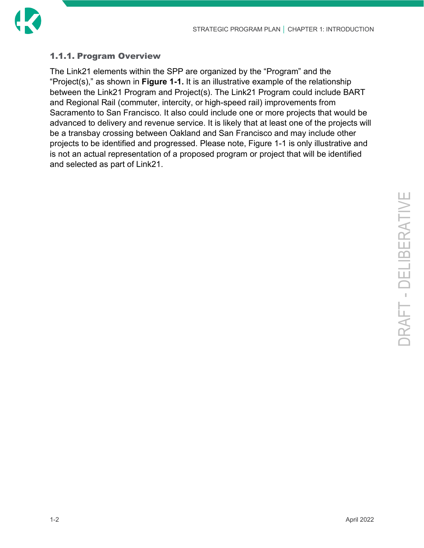

### <span id="page-9-0"></span>1.1.1. Program Overview

The Link21 elements within the SPP are organized by the "Program" and the "Project(s)," as shown in **[Figure 1-1.](#page-10-0)** It is an illustrative example of the relationship between the Link21 Program and Project(s). The Link21 Program could include BART and Regional Rail (commuter, intercity, or high-speed rail) improvements from Sacramento to San Francisco. It also could include one or more projects that would be advanced to delivery and revenue service. It is likely that at least one of the projects will be a transbay crossing between Oakland and San Francisco and may include other projects to be identified and progressed. Please note, Figure 1-1 is only illustrative and is not an actual representation of a proposed program or project that will be identified and selected as part of Link21.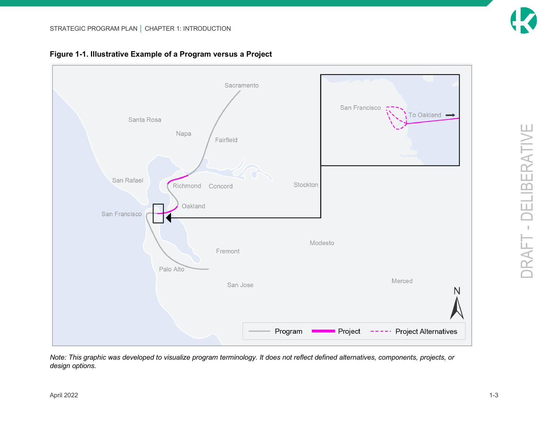<span id="page-10-0"></span>

**Figure 1-1. Illustrative Example of a Program versus a Project**

*Note: This graphic was developed to visualize program terminology. It does not reflect defined alternatives, components, projects, or design options.*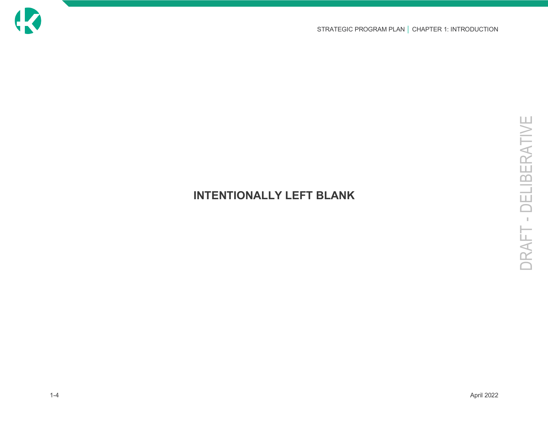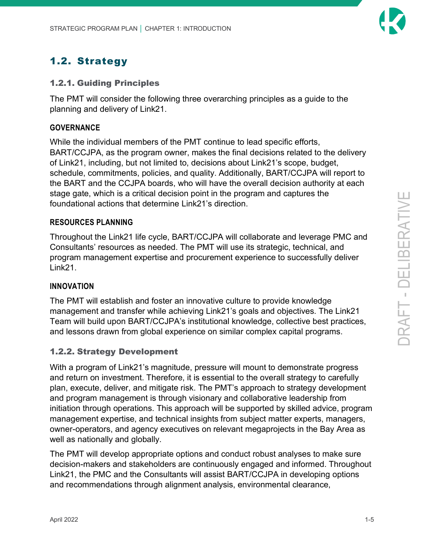### <span id="page-12-0"></span>1.2. Strategy

#### <span id="page-12-1"></span>1.2.1. Guiding Principles

The PMT will consider the following three overarching principles as a guide to the planning and delivery of Link21.

#### **GOVERNANCE**

While the individual members of the PMT continue to lead specific efforts, BART/CCJPA, as the program owner, makes the final decisions related to the delivery of Link21, including, but not limited to, decisions about Link21's scope, budget, schedule, commitments, policies, and quality. Additionally, BART/CCJPA will report to the BART and the CCJPA boards, who will have the overall decision authority at each stage gate, which is a critical decision point in the program and captures the foundational actions that determine Link21's direction.

#### **RESOURCES PLANNING**

Throughout the Link21 life cycle, BART/CCJPA will collaborate and leverage PMC and Consultants' resources as needed. The PMT will use its strategic, technical, and program management expertise and procurement experience to successfully deliver Link21.

#### **INNOVATION**

The PMT will establish and foster an innovative culture to provide knowledge management and transfer while achieving Link21's goals and objectives. The Link21 Team will build upon BART/CCJPA's institutional knowledge, collective best practices, and lessons drawn from global experience on similar complex capital programs.

#### <span id="page-12-2"></span>1.2.2. Strategy Development

With a program of Link21's magnitude, pressure will mount to demonstrate progress and return on investment. Therefore, it is essential to the overall strategy to carefully plan, execute, deliver, and mitigate risk. The PMT's approach to strategy development and program management is through visionary and collaborative leadership from initiation through operations. This approach will be supported by skilled advice, program management expertise, and technical insights from subject matter experts, managers, owner-operators, and agency executives on relevant megaprojects in the Bay Area as well as nationally and globally.

The PMT will develop appropriate options and conduct robust analyses to make sure decision-makers and stakeholders are continuously engaged and informed. Throughout Link21, the PMC and the Consultants will assist BART/CCJPA in developing options and recommendations through alignment analysis, environmental clearance,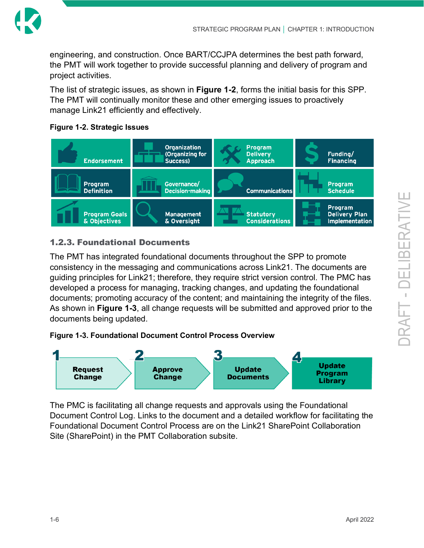

engineering, and construction. Once BART/CCJPA determines the best path forward, the PMT will work together to provide successful planning and delivery of program and project activities.

The list of strategic issues, as shown in **[Figure 1-2](#page-13-1)**, forms the initial basis for this SPP. The PMT will continually monitor these and other emerging issues to proactively manage Link21 efficiently and effectively.

<span id="page-13-1"></span>



#### <span id="page-13-0"></span>1.2.3. Foundational Documents

The PMT has integrated [foundational documents](https://tbaynext.sharepoint.com/NTRCProgramLibrary/Forms/AllItems.aspx?FilterField1=DocumentType&FilterValue1=Foundational%20Documents&FilterDisplay1=Foundational%20Documents&FilterType1=Choice&viewid=e4cb7925%2Da994%2D4d8b%2Db372%2D6d122f405015&id=%2FNTRCProgramLibrary) throughout the SPP to promote consistency in the messaging and communications across Link21. The documents are guiding principles for Link21; therefore, they require strict version control. The PMC has developed a process for managing, tracking changes, and updating the foundational documents; promoting accuracy of the content; and maintaining the integrity of the files. As shown in **[Figure 1-3](#page-13-2)**, all change requests will be submitted and approved prior to the documents being updated.

#### <span id="page-13-2"></span>**Figure 1-3. Foundational Document Control Process Overview**



The PMC is facilitating all change requests and approvals using the Foundational Document Control Log. Links to the document and a detailed workflow for facilitating the Foundational Document Control Process are on the Link21 SharePoint Collaboration Site (SharePoint) in the PMT Collaboration subsite.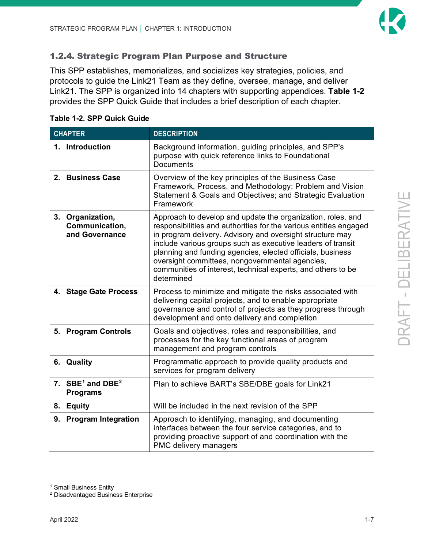

### <span id="page-14-0"></span>1.2.4. Strategic Program Plan Purpose and Structure

This SPP establishes, memorializes, and socializes key strategies, policies, and protocols to guide the Link21 Team as they define, oversee, manage, and deliver Link21. The SPP is organized into 14 chapters with supporting appendices. **[Table 1-2](#page-14-1)** provides the SPP Quick Guide that includes a brief description of each chapter.

| <b>CHAPTER</b> |                                                      | <b>DESCRIPTION</b>                                                                                                                                                                                                                                                                                                                                                                                                                                          |  |  |
|----------------|------------------------------------------------------|-------------------------------------------------------------------------------------------------------------------------------------------------------------------------------------------------------------------------------------------------------------------------------------------------------------------------------------------------------------------------------------------------------------------------------------------------------------|--|--|
|                | 1. Introduction                                      | Background information, guiding principles, and SPP's<br>purpose with quick reference links to Foundational<br><b>Documents</b>                                                                                                                                                                                                                                                                                                                             |  |  |
|                | 2. Business Case                                     | Overview of the key principles of the Business Case<br>Framework, Process, and Methodology; Problem and Vision<br>Statement & Goals and Objectives; and Strategic Evaluation<br>Framework                                                                                                                                                                                                                                                                   |  |  |
|                | 3. Organization,<br>Communication,<br>and Governance | Approach to develop and update the organization, roles, and<br>responsibilities and authorities for the various entities engaged<br>in program delivery. Advisory and oversight structure may<br>include various groups such as executive leaders of transit<br>planning and funding agencies, elected officials, business<br>oversight committees, nongovernmental agencies,<br>communities of interest, technical experts, and others to be<br>determined |  |  |
|                | 4. Stage Gate Process                                | Process to minimize and mitigate the risks associated with<br>delivering capital projects, and to enable appropriate<br>governance and control of projects as they progress through<br>development and onto delivery and completion                                                                                                                                                                                                                         |  |  |
|                | 5. Program Controls                                  | Goals and objectives, roles and responsibilities, and<br>processes for the key functional areas of program<br>management and program controls                                                                                                                                                                                                                                                                                                               |  |  |
|                | 6. Quality                                           | Programmatic approach to provide quality products and<br>services for program delivery                                                                                                                                                                                                                                                                                                                                                                      |  |  |
|                | 7. $SBE1$ and DBE <sup>2</sup><br><b>Programs</b>    | Plan to achieve BART's SBE/DBE goals for Link21                                                                                                                                                                                                                                                                                                                                                                                                             |  |  |
|                | 8. Equity                                            | Will be included in the next revision of the SPP                                                                                                                                                                                                                                                                                                                                                                                                            |  |  |
|                | 9. Program Integration                               | Approach to identifying, managing, and documenting<br>interfaces between the four service categories, and to<br>providing proactive support of and coordination with the<br>PMC delivery managers                                                                                                                                                                                                                                                           |  |  |

#### <span id="page-14-1"></span>**Table 1-2. SPP Quick Guide**

<span id="page-14-2"></span><sup>&</sup>lt;sup>1</sup> Small Business Entity

<span id="page-14-3"></span><sup>2</sup> Disadvantaged Business Enterprise